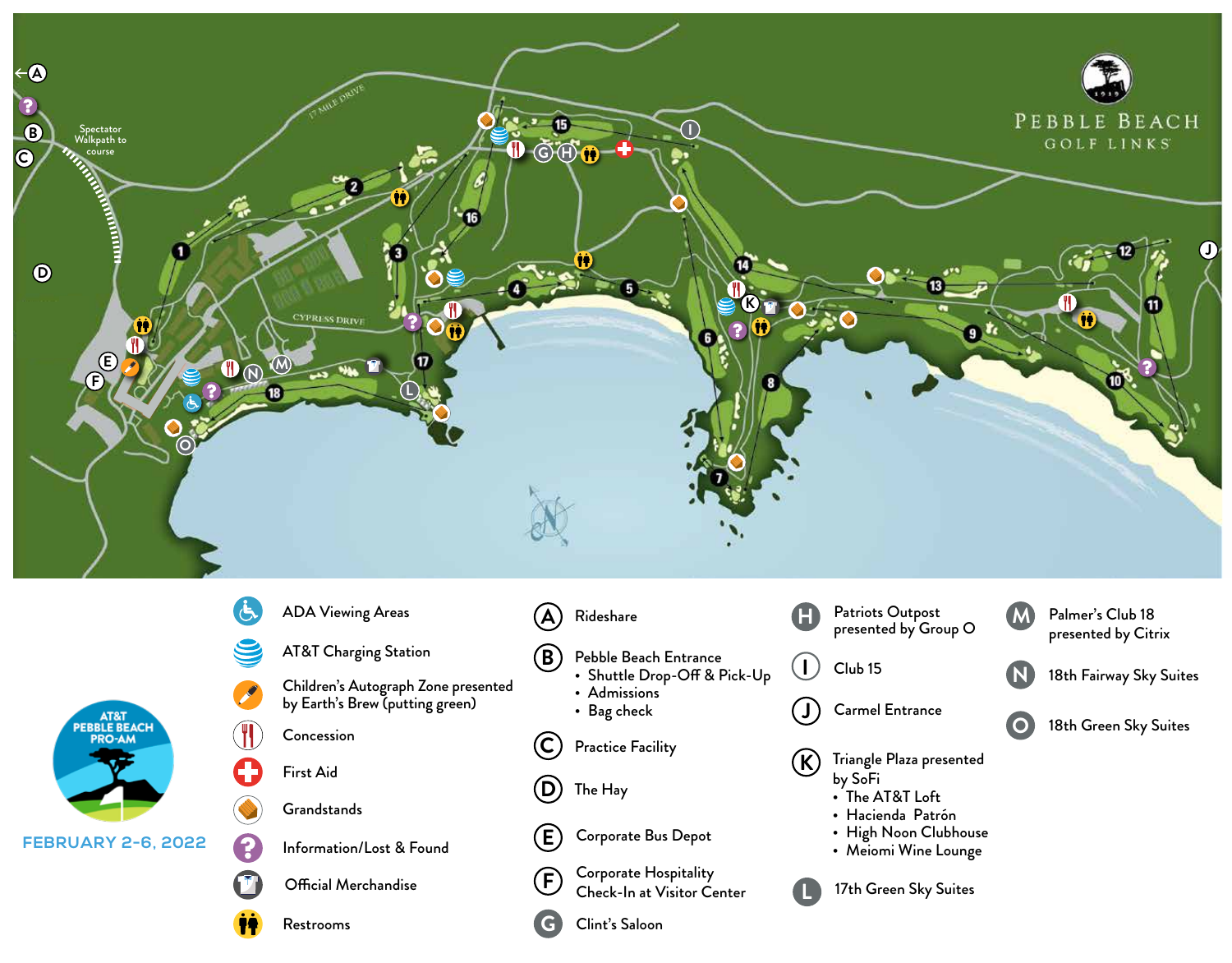

Pebble Beach Entrance

Corporate Bus Depot

Corporate Hospitality Check-In at Visitor Center

• Admissions • Bag check

The Hay

Clint's Saloon

• Shuttle Drop-Off & Pick-Up

**C**

**D**

**E**

**F**

**G**

- **N**
- 18th Fairway Sky Suites

18th Green Sky Suites **O**

**K** Practice Facility  $(R)$  Triangle Plaza presented by SoFi

Carmel Entrance

Club 15

**J**

**I**

**L**

- The AT&T Loft
- Hacienda Patrón
- High Noon Clubhouse
- Meiomi Wine Lounge
- 17th Green Sky Suites

AT&T Charging Station

Children's Autograph Zone presented by Earth's Brew (putting green)

Concession

First Aid

**Grandstands** 

Information/Lost & Found

Official Merchandise

Restrooms

3

**FEBRUARY 2-6, 2022**

AT&T<br>PEBBLE BEACH **PRO-AM**